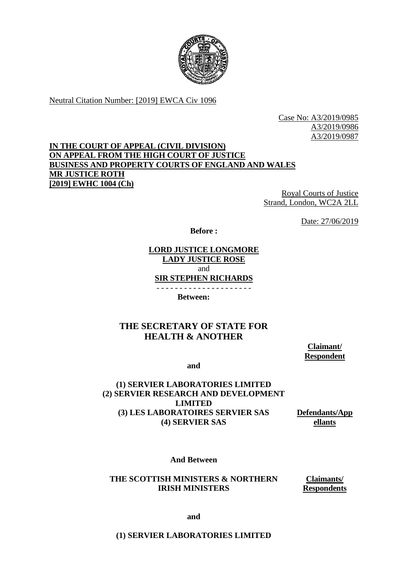

Neutral Citation Number: [2019] EWCA Civ 1096

Case No: A3/2019/0985 A3/2019/0986 A3/2019/0987

# **IN THE COURT OF APPEAL (CIVIL DIVISION) ON APPEAL FROM THE HIGH COURT OF JUSTICE BUSINESS AND PROPERTY COURTS OF ENGLAND AND WALES MR JUSTICE ROTH [2019] EWHC 1004 (Ch)**

Royal Courts of Justice Strand, London, WC2A 2LL

Date: 27/06/2019

**Before :**

### **LORD JUSTICE LONGMORE LADY JUSTICE ROSE**  and **SIR STEPHEN RICHARDS**

- - - - - - - - - - - - - - - - - - - - -

**Between:**

# **THE SECRETARY OF STATE FOR HEALTH & ANOTHER**

**Claimant/ Respondent**

**and**

#### **(1) SERVIER LABORATORIES LIMITED (2) SERVIER RESEARCH AND DEVELOPMENT LIMITED (3) LES LABORATOIRES SERVIER SAS (4) SERVIER SAS**

**Defendants/App ellants**

**And Between**

**THE SCOTTISH MINISTERS & NORTHERN IRISH MINISTERS**

**Claimants/ Respondents**

**and**

**(1) SERVIER LABORATORIES LIMITED**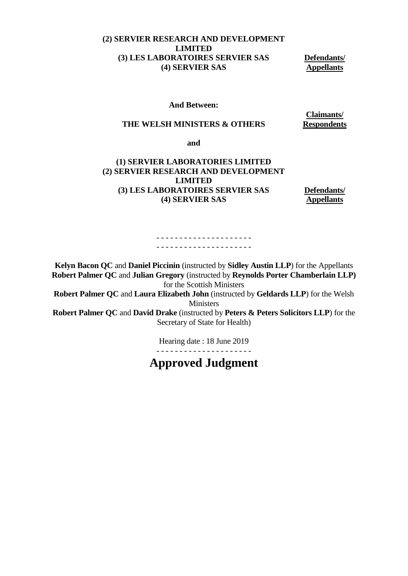## **(2) SERVIER RESEARCH AND DEVELOPMENT LIMITED (3) LES LABORATOIRES SERVIER SAS (4) SERVIER SAS**

**Defendants/ Appellants**

#### **And Between:**

#### **THE WELSH MINISTERS & OTHERS**

**Claimants/ Respondents**

**and**

## **(1) SERVIER LABORATORIES LIMITED (2) SERVIER RESEARCH AND DEVELOPMENT LIMITED (3) LES LABORATOIRES SERVIER SAS (4) SERVIER SAS**

**Defendants/ Appellants**

- - - - - - - - - - - - - - - - - - - - - - - - - - - - - - - - - - - - - - - - - -

**Kelyn Bacon QC** and **Daniel Piccinin** (instructed by **Sidley Austin LLP**) for the Appellants **Robert Palmer QC** and **Julian Gregory** (instructed by **Reynolds Porter Chamberlain LLP)** for the Scottish Ministers

**Robert Palmer QC** and **Laura Elizabeth John** (instructed by **Geldards LLP**) for the Welsh **Ministers** 

**Robert Palmer QC** and **David Drake** (instructed by **Peters & Peters Solicitors LLP**) for the Secretary of State for Health)

Hearing date : 18 June 2019

# **Approved Judgment**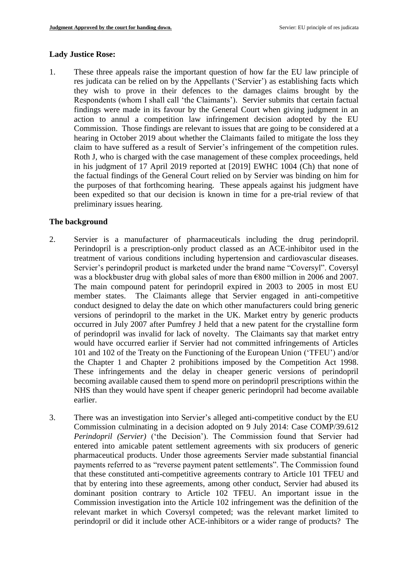#### **Lady Justice Rose:**

1. These three appeals raise the important question of how far the EU law principle of res judicata can be relied on by the Appellants ('Servier') as establishing facts which they wish to prove in their defences to the damages claims brought by the Respondents (whom I shall call 'the Claimants'). Servier submits that certain factual findings were made in its favour by the General Court when giving judgment in an action to annul a competition law infringement decision adopted by the EU Commission. Those findings are relevant to issues that are going to be considered at a hearing in October 2019 about whether the Claimants failed to mitigate the loss they claim to have suffered as a result of Servier's infringement of the competition rules. Roth J, who is charged with the case management of these complex proceedings, held in his judgment of 17 April 2019 reported at [2019] EWHC 1004 (Ch) that none of the factual findings of the General Court relied on by Servier was binding on him for the purposes of that forthcoming hearing. These appeals against his judgment have been expedited so that our decision is known in time for a pre-trial review of that preliminary issues hearing.

#### **The background**

- 2. Servier is a manufacturer of pharmaceuticals including the drug perindopril. Perindopril is a prescription-only product classed as an ACE-inhibitor used in the treatment of various conditions including hypertension and cardiovascular diseases. Servier's perindopril product is marketed under the brand name "Coversyl". Coversyl was a blockbuster drug with global sales of more than €800 million in 2006 and 2007. The main compound patent for perindopril expired in 2003 to 2005 in most EU member states. The Claimants allege that Servier engaged in anti-competitive conduct designed to delay the date on which other manufacturers could bring generic versions of perindopril to the market in the UK. Market entry by generic products occurred in July 2007 after Pumfrey J held that a new patent for the crystalline form of perindopril was invalid for lack of novelty. The Claimants say that market entry would have occurred earlier if Servier had not committed infringements of Articles 101 and 102 of the Treaty on the Functioning of the European Union ('TFEU') and/or the Chapter 1 and Chapter 2 prohibitions imposed by the Competition Act 1998. These infringements and the delay in cheaper generic versions of perindopril becoming available caused them to spend more on perindopril prescriptions within the NHS than they would have spent if cheaper generic perindopril had become available earlier.
- 3. There was an investigation into Servier's alleged anti-competitive conduct by the EU Commission culminating in a decision adopted on 9 July 2014: Case COMP/39.612 *Perindopril (Servier)* ('the Decision'). The Commission found that Servier had entered into amicable patent settlement agreements with six producers of generic pharmaceutical products. Under those agreements Servier made substantial financial payments referred to as "reverse payment patent settlements". The Commission found that these constituted anti-competitive agreements contrary to Article 101 TFEU and that by entering into these agreements, among other conduct, Servier had abused its dominant position contrary to Article 102 TFEU. An important issue in the Commission investigation into the Article 102 infringement was the definition of the relevant market in which Coversyl competed; was the relevant market limited to perindopril or did it include other ACE-inhibitors or a wider range of products? The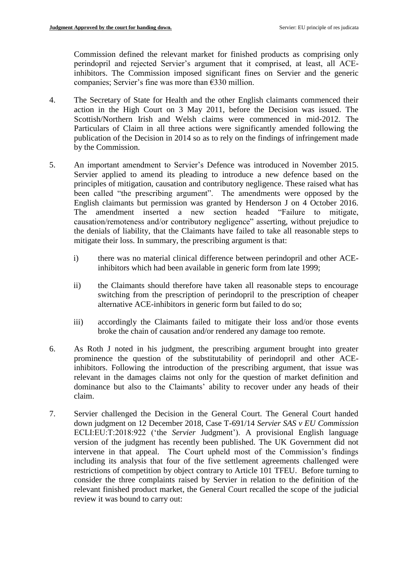Commission defined the relevant market for finished products as comprising only perindopril and rejected Servier's argument that it comprised, at least, all ACEinhibitors. The Commission imposed significant fines on Servier and the generic companies; Servier's fine was more than €330 million.

- 4. The Secretary of State for Health and the other English claimants commenced their action in the High Court on 3 May 2011, before the Decision was issued. The Scottish/Northern Irish and Welsh claims were commenced in mid-2012. The Particulars of Claim in all three actions were significantly amended following the publication of the Decision in 2014 so as to rely on the findings of infringement made by the Commission.
- 5. An important amendment to Servier's Defence was introduced in November 2015. Servier applied to amend its pleading to introduce a new defence based on the principles of mitigation, causation and contributory negligence. These raised what has been called "the prescribing argument". The amendments were opposed by the English claimants but permission was granted by Henderson J on 4 October 2016. The amendment inserted a new section headed "Failure to mitigate, causation/remoteness and/or contributory negligence" asserting, without prejudice to the denials of liability, that the Claimants have failed to take all reasonable steps to mitigate their loss. In summary, the prescribing argument is that:
	- i) there was no material clinical difference between perindopril and other ACEinhibitors which had been available in generic form from late 1999;
	- ii) the Claimants should therefore have taken all reasonable steps to encourage switching from the prescription of perindopril to the prescription of cheaper alternative ACE-inhibitors in generic form but failed to do so;
	- iii) accordingly the Claimants failed to mitigate their loss and/or those events broke the chain of causation and/or rendered any damage too remote.
- 6. As Roth J noted in his judgment, the prescribing argument brought into greater prominence the question of the substitutability of perindopril and other ACEinhibitors. Following the introduction of the prescribing argument, that issue was relevant in the damages claims not only for the question of market definition and dominance but also to the Claimants' ability to recover under any heads of their claim.
- 7. Servier challenged the Decision in the General Court. The General Court handed down judgment on 12 December 2018, Case T-691/14 *Servier SAS v EU Commission*  ECLI:EU:T:2018:922 ('the *Servier* Judgment'). A provisional English language version of the judgment has recently been published. The UK Government did not intervene in that appeal. The Court upheld most of the Commission's findings including its analysis that four of the five settlement agreements challenged were restrictions of competition by object contrary to Article 101 TFEU. Before turning to consider the three complaints raised by Servier in relation to the definition of the relevant finished product market, the General Court recalled the scope of the judicial review it was bound to carry out: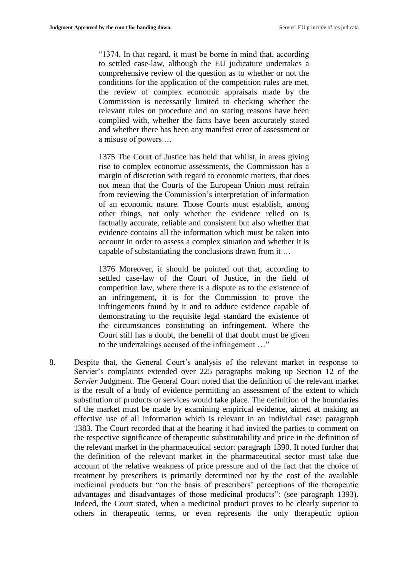"1374. In that regard, it must be borne in mind that, according to settled case-law, although the EU judicature undertakes a comprehensive review of the question as to whether or not the conditions for the application of the competition rules are met, the review of complex economic appraisals made by the Commission is necessarily limited to checking whether the relevant rules on procedure and on stating reasons have been complied with, whether the facts have been accurately stated and whether there has been any manifest error of assessment or a misuse of powers …

1375 The Court of Justice has held that whilst, in areas giving rise to complex economic assessments, the Commission has a margin of discretion with regard to economic matters, that does not mean that the Courts of the European Union must refrain from reviewing the Commission's interpretation of information of an economic nature. Those Courts must establish, among other things, not only whether the evidence relied on is factually accurate, reliable and consistent but also whether that evidence contains all the information which must be taken into account in order to assess a complex situation and whether it is capable of substantiating the conclusions drawn from it …

1376 Moreover, it should be pointed out that, according to settled case-law of the Court of Justice, in the field of competition law, where there is a dispute as to the existence of an infringement, it is for the Commission to prove the infringements found by it and to adduce evidence capable of demonstrating to the requisite legal standard the existence of the circumstances constituting an infringement. Where the Court still has a doubt, the benefit of that doubt must be given to the undertakings accused of the infringement …"

8. Despite that, the General Court's analysis of the relevant market in response to Servier's complaints extended over 225 paragraphs making up Section 12 of the *Servier* Judgment. The General Court noted that the definition of the relevant market is the result of a body of evidence permitting an assessment of the extent to which substitution of products or services would take place. The definition of the boundaries of the market must be made by examining empirical evidence, aimed at making an effective use of all information which is relevant in an individual case: paragraph 1383. The Court recorded that at the hearing it had invited the parties to comment on the respective significance of therapeutic substitutability and price in the definition of the relevant market in the pharmaceutical sector: paragraph 1390. It noted further that the definition of the relevant market in the pharmaceutical sector must take due account of the relative weakness of price pressure and of the fact that the choice of treatment by prescribers is primarily determined not by the cost of the available medicinal products but "on the basis of prescribers' perceptions of the therapeutic advantages and disadvantages of those medicinal products": (see paragraph 1393). Indeed, the Court stated, when a medicinal product proves to be clearly superior to others in therapeutic terms, or even represents the only therapeutic option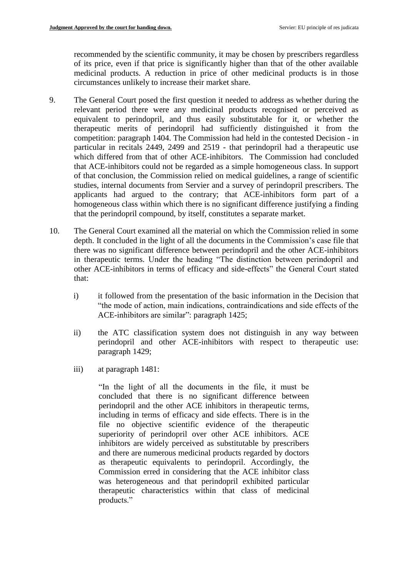recommended by the scientific community, it may be chosen by prescribers regardless of its price, even if that price is significantly higher than that of the other available medicinal products. A reduction in price of other medicinal products is in those circumstances unlikely to increase their market share.

- 9. The General Court posed the first question it needed to address as whether during the relevant period there were any medicinal products recognised or perceived as equivalent to perindopril, and thus easily substitutable for it, or whether the therapeutic merits of perindopril had sufficiently distinguished it from the competition: paragraph 1404. The Commission had held in the contested Decision - in particular in recitals 2449, 2499 and 2519 - that perindopril had a therapeutic use which differed from that of other ACE-inhibitors. The Commission had concluded that ACE-inhibitors could not be regarded as a simple homogeneous class. In support of that conclusion, the Commission relied on medical guidelines, a range of scientific studies, internal documents from Servier and a survey of perindopril prescribers. The applicants had argued to the contrary; that ACE-inhibitors form part of a homogeneous class within which there is no significant difference justifying a finding that the perindopril compound, by itself, constitutes a separate market.
- 10. The General Court examined all the material on which the Commission relied in some depth. It concluded in the light of all the documents in the Commission's case file that there was no significant difference between perindopril and the other ACE-inhibitors in therapeutic terms. Under the heading "The distinction between perindopril and other ACE-inhibitors in terms of efficacy and side-effects" the General Court stated that:
	- i) it followed from the presentation of the basic information in the Decision that "the mode of action, main indications, contraindications and side effects of the ACE-inhibitors are similar": paragraph 1425;
	- ii) the ATC classification system does not distinguish in any way between perindopril and other ACE-inhibitors with respect to therapeutic use: paragraph 1429;
	- iii) at paragraph 1481:

"In the light of all the documents in the file, it must be concluded that there is no significant difference between perindopril and the other ACE inhibitors in therapeutic terms, including in terms of efficacy and side effects. There is in the file no objective scientific evidence of the therapeutic superiority of perindopril over other ACE inhibitors. ACE inhibitors are widely perceived as substitutable by prescribers and there are numerous medicinal products regarded by doctors as therapeutic equivalents to perindopril. Accordingly, the Commission erred in considering that the ACE inhibitor class was heterogeneous and that perindopril exhibited particular therapeutic characteristics within that class of medicinal products."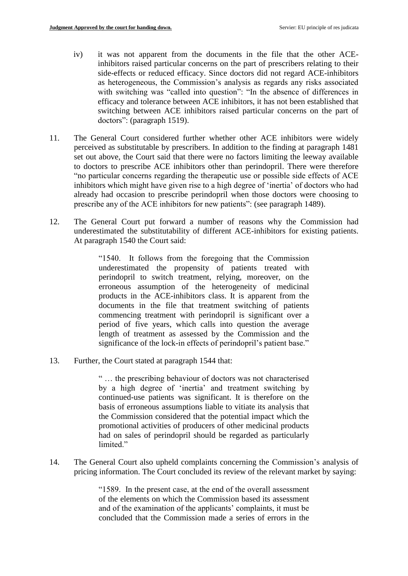- iv) it was not apparent from the documents in the file that the other ACEinhibitors raised particular concerns on the part of prescribers relating to their side-effects or reduced efficacy. Since doctors did not regard ACE-inhibitors as heterogeneous, the Commission's analysis as regards any risks associated with switching was "called into question": "In the absence of differences in efficacy and tolerance between ACE inhibitors, it has not been established that switching between ACE inhibitors raised particular concerns on the part of doctors": (paragraph 1519).
- 11. The General Court considered further whether other ACE inhibitors were widely perceived as substitutable by prescribers. In addition to the finding at paragraph 1481 set out above, the Court said that there were no factors limiting the leeway available to doctors to prescribe ACE inhibitors other than perindopril. There were therefore "no particular concerns regarding the therapeutic use or possible side effects of ACE inhibitors which might have given rise to a high degree of 'inertia' of doctors who had already had occasion to prescribe perindopril when those doctors were choosing to prescribe any of the ACE inhibitors for new patients": (see paragraph 1489).
- 12. The General Court put forward a number of reasons why the Commission had underestimated the substitutability of different ACE-inhibitors for existing patients. At paragraph 1540 the Court said:

"1540. It follows from the foregoing that the Commission underestimated the propensity of patients treated with perindopril to switch treatment, relying, moreover, on the erroneous assumption of the heterogeneity of medicinal products in the ACE-inhibitors class. It is apparent from the documents in the file that treatment switching of patients commencing treatment with perindopril is significant over a period of five years, which calls into question the average length of treatment as assessed by the Commission and the significance of the lock-in effects of perindopril's patient base."

13. Further, the Court stated at paragraph 1544 that:

" … the prescribing behaviour of doctors was not characterised by a high degree of 'inertia' and treatment switching by continued-use patients was significant. It is therefore on the basis of erroneous assumptions liable to vitiate its analysis that the Commission considered that the potential impact which the promotional activities of producers of other medicinal products had on sales of perindopril should be regarded as particularly limited."

14. The General Court also upheld complaints concerning the Commission's analysis of pricing information. The Court concluded its review of the relevant market by saying:

> "1589. In the present case, at the end of the overall assessment of the elements on which the Commission based its assessment and of the examination of the applicants' complaints, it must be concluded that the Commission made a series of errors in the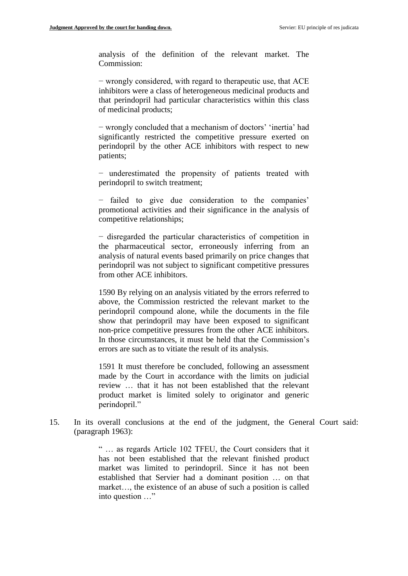analysis of the definition of the relevant market. The Commission:

− wrongly considered, with regard to therapeutic use, that ACE inhibitors were a class of heterogeneous medicinal products and that perindopril had particular characteristics within this class of medicinal products;

− wrongly concluded that a mechanism of doctors' 'inertia' had significantly restricted the competitive pressure exerted on perindopril by the other ACE inhibitors with respect to new patients;

− underestimated the propensity of patients treated with perindopril to switch treatment;

− failed to give due consideration to the companies' promotional activities and their significance in the analysis of competitive relationships;

− disregarded the particular characteristics of competition in the pharmaceutical sector, erroneously inferring from an analysis of natural events based primarily on price changes that perindopril was not subject to significant competitive pressures from other ACE inhibitors.

1590 By relying on an analysis vitiated by the errors referred to above, the Commission restricted the relevant market to the perindopril compound alone, while the documents in the file show that perindopril may have been exposed to significant non-price competitive pressures from the other ACE inhibitors. In those circumstances, it must be held that the Commission's errors are such as to vitiate the result of its analysis.

1591 It must therefore be concluded, following an assessment made by the Court in accordance with the limits on judicial review … that it has not been established that the relevant product market is limited solely to originator and generic perindopril."

15. In its overall conclusions at the end of the judgment, the General Court said: (paragraph 1963):

> " … as regards Article 102 TFEU, the Court considers that it has not been established that the relevant finished product market was limited to perindopril. Since it has not been established that Servier had a dominant position … on that market…, the existence of an abuse of such a position is called into question …"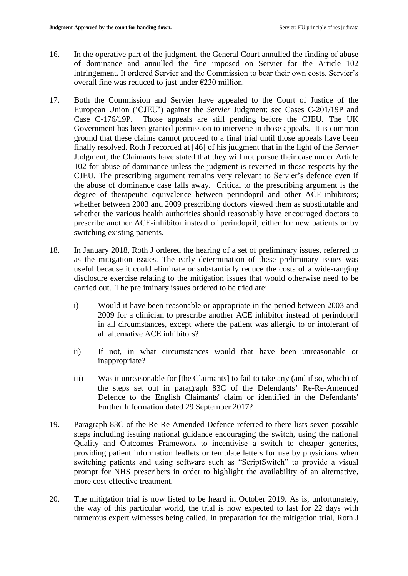- 16. In the operative part of the judgment, the General Court annulled the finding of abuse of dominance and annulled the fine imposed on Servier for the Article 102 infringement. It ordered Servier and the Commission to bear their own costs. Servier's overall fine was reduced to just under  $\epsilon$ 230 million.
- 17. Both the Commission and Servier have appealed to the Court of Justice of the European Union ('CJEU') against the *Servier* Judgment: see Cases C-201/19P and Case C-176/19P. Those appeals are still pending before the CJEU. The UK Government has been granted permission to intervene in those appeals. It is common ground that these claims cannot proceed to a final trial until those appeals have been finally resolved. Roth J recorded at [46] of his judgment that in the light of the *Servier* Judgment, the Claimants have stated that they will not pursue their case under Article 102 for abuse of dominance unless the judgment is reversed in those respects by the CJEU. The prescribing argument remains very relevant to Servier's defence even if the abuse of dominance case falls away. Critical to the prescribing argument is the degree of therapeutic equivalence between perindopril and other ACE-inhibitors; whether between 2003 and 2009 prescribing doctors viewed them as substitutable and whether the various health authorities should reasonably have encouraged doctors to prescribe another ACE-inhibitor instead of perindopril, either for new patients or by switching existing patients.
- 18. In January 2018, Roth J ordered the hearing of a set of preliminary issues, referred to as the mitigation issues. The early determination of these preliminary issues was useful because it could eliminate or substantially reduce the costs of a wide-ranging disclosure exercise relating to the mitigation issues that would otherwise need to be carried out. The preliminary issues ordered to be tried are:
	- i) Would it have been reasonable or appropriate in the period between 2003 and 2009 for a clinician to prescribe another ACE inhibitor instead of perindopril in all circumstances, except where the patient was allergic to or intolerant of all alternative ACE inhibitors?
	- ii) If not, in what circumstances would that have been unreasonable or inappropriate?
	- iii) Was it unreasonable for [the Claimants] to fail to take any (and if so, which) of the steps set out in paragraph 83C of the Defendants' Re-Re-Amended Defence to the English Claimants' claim or identified in the Defendants' Further Information dated 29 September 2017?
- 19. Paragraph 83C of the Re-Re-Amended Defence referred to there lists seven possible steps including issuing national guidance encouraging the switch, using the national Quality and Outcomes Framework to incentivise a switch to cheaper generics, providing patient information leaflets or template letters for use by physicians when switching patients and using software such as "ScriptSwitch" to provide a visual prompt for NHS prescribers in order to highlight the availability of an alternative, more cost-effective treatment.
- 20. The mitigation trial is now listed to be heard in October 2019. As is, unfortunately, the way of this particular world, the trial is now expected to last for 22 days with numerous expert witnesses being called. In preparation for the mitigation trial, Roth J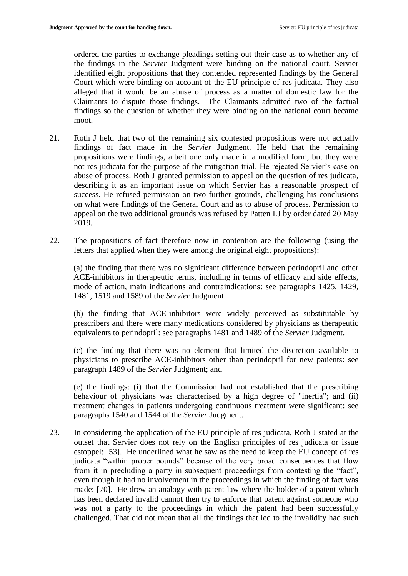ordered the parties to exchange pleadings setting out their case as to whether any of the findings in the *Servier* Judgment were binding on the national court. Servier identified eight propositions that they contended represented findings by the General Court which were binding on account of the EU principle of res judicata. They also alleged that it would be an abuse of process as a matter of domestic law for the Claimants to dispute those findings. The Claimants admitted two of the factual findings so the question of whether they were binding on the national court became moot.

- 21. Roth J held that two of the remaining six contested propositions were not actually findings of fact made in the *Servier* Judgment. He held that the remaining propositions were findings, albeit one only made in a modified form, but they were not res judicata for the purpose of the mitigation trial. He rejected Servier's case on abuse of process. Roth J granted permission to appeal on the question of res judicata, describing it as an important issue on which Servier has a reasonable prospect of success. He refused permission on two further grounds, challenging his conclusions on what were findings of the General Court and as to abuse of process. Permission to appeal on the two additional grounds was refused by Patten LJ by order dated 20 May 2019.
- 22. The propositions of fact therefore now in contention are the following (using the letters that applied when they were among the original eight propositions):

(a) the finding that there was no significant difference between perindopril and other ACE-inhibitors in therapeutic terms, including in terms of efficacy and side effects, mode of action, main indications and contraindications: see paragraphs 1425, 1429, 1481, 1519 and 1589 of the *Servier* Judgment.

(b) the finding that ACE-inhibitors were widely perceived as substitutable by prescribers and there were many medications considered by physicians as therapeutic equivalents to perindopril: see paragraphs 1481 and 1489 of the *Servier* Judgment.

(c) the finding that there was no element that limited the discretion available to physicians to prescribe ACE-inhibitors other than perindopril for new patients: see paragraph 1489 of the *Servier* Judgment; and

(e) the findings: (i) that the Commission had not established that the prescribing behaviour of physicians was characterised by a high degree of "inertia"; and (ii) treatment changes in patients undergoing continuous treatment were significant: see paragraphs 1540 and 1544 of the *Servier* Judgment.

23. In considering the application of the EU principle of res judicata, Roth J stated at the outset that Servier does not rely on the English principles of res judicata or issue estoppel: [53]. He underlined what he saw as the need to keep the EU concept of res judicata "within proper bounds" because of the very broad consequences that flow from it in precluding a party in subsequent proceedings from contesting the "fact", even though it had no involvement in the proceedings in which the finding of fact was made: [70]. He drew an analogy with patent law where the holder of a patent which has been declared invalid cannot then try to enforce that patent against someone who was not a party to the proceedings in which the patent had been successfully challenged. That did not mean that all the findings that led to the invalidity had such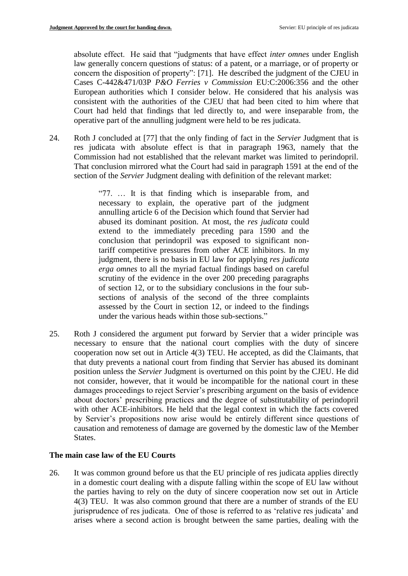absolute effect. He said that "judgments that have effect *inter omnes* under English law generally concern questions of status: of a patent, or a marriage, or of property or concern the disposition of property": [71]. He described the judgment of the CJEU in Cases C-442&471/03P *P&O Ferries v Commission* EU:C:2006:356 and the other European authorities which I consider below. He considered that his analysis was consistent with the authorities of the CJEU that had been cited to him where that Court had held that findings that led directly to, and were inseparable from, the operative part of the annulling judgment were held to be res judicata.

24. Roth J concluded at [77] that the only finding of fact in the *Servier* Judgment that is res judicata with absolute effect is that in paragraph 1963, namely that the Commission had not established that the relevant market was limited to perindopril. That conclusion mirrored what the Court had said in paragraph 1591 at the end of the section of the *Servier* Judgment dealing with definition of the relevant market:

> "77. … It is that finding which is inseparable from, and necessary to explain, the operative part of the judgment annulling article 6 of the Decision which found that Servier had abused its dominant position. At most, the *res judicata* could extend to the immediately preceding para 1590 and the conclusion that perindopril was exposed to significant nontariff competitive pressures from other ACE inhibitors. In my judgment, there is no basis in EU law for applying *res judicata erga omnes* to all the myriad factual findings based on careful scrutiny of the evidence in the over 200 preceding paragraphs of section 12, or to the subsidiary conclusions in the four subsections of analysis of the second of the three complaints assessed by the Court in section 12, or indeed to the findings under the various heads within those sub-sections."

25. Roth J considered the argument put forward by Servier that a wider principle was necessary to ensure that the national court complies with the duty of sincere cooperation now set out in Article 4(3) TEU. He accepted, as did the Claimants, that that duty prevents a national court from finding that Servier has abused its dominant position unless the *Servier* Judgment is overturned on this point by the CJEU. He did not consider, however, that it would be incompatible for the national court in these damages proceedings to reject Servier's prescribing argument on the basis of evidence about doctors' prescribing practices and the degree of substitutability of perindopril with other ACE-inhibitors. He held that the legal context in which the facts covered by Servier's propositions now arise would be entirely different since questions of causation and remoteness of damage are governed by the domestic law of the Member States.

# **The main case law of the EU Courts**

26. It was common ground before us that the EU principle of res judicata applies directly in a domestic court dealing with a dispute falling within the scope of EU law without the parties having to rely on the duty of sincere cooperation now set out in Article 4(3) TEU. It was also common ground that there are a number of strands of the EU jurisprudence of res judicata. One of those is referred to as 'relative res judicata' and arises where a second action is brought between the same parties, dealing with the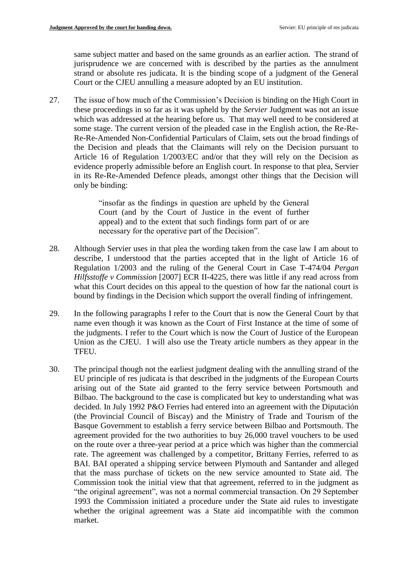same subject matter and based on the same grounds as an earlier action. The strand of jurisprudence we are concerned with is described by the parties as the annulment strand or absolute res judicata. It is the binding scope of a judgment of the General Court or the CJEU annulling a measure adopted by an EU institution.

27. The issue of how much of the Commission's Decision is binding on the High Court in these proceedings in so far as it was upheld by the *Servier* Judgment was not an issue which was addressed at the hearing before us. That may well need to be considered at some stage. The current version of the pleaded case in the English action, the Re-Re-Re-Re-Amended Non-Confidential Particulars of Claim, sets out the broad findings of the Decision and pleads that the Claimants will rely on the Decision pursuant to Article 16 of Regulation 1/2003/EC and/or that they will rely on the Decision as evidence properly admissible before an English court. In response to that plea, Servier in its Re-Re-Amended Defence pleads, amongst other things that the Decision will only be binding:

> "insofar as the findings in question are upheld by the General Court (and by the Court of Justice in the event of further appeal) and to the extent that such findings form part of or are necessary for the operative part of the Decision".

- 28. Although Servier uses in that plea the wording taken from the case law I am about to describe, I understood that the parties accepted that in the light of Article 16 of Regulation 1/2003 and the ruling of the General Court in Case T-474/04 *Pergan Hilfsstoffe v Commission* [2007] ECR II-4225, there was little if any read across from what this Court decides on this appeal to the question of how far the national court is bound by findings in the Decision which support the overall finding of infringement.
- 29. In the following paragraphs I refer to the Court that is now the General Court by that name even though it was known as the Court of First Instance at the time of some of the judgments. I refer to the Court which is now the Court of Justice of the European Union as the CJEU. I will also use the Treaty article numbers as they appear in the TFEU.
- 30. The principal though not the earliest judgment dealing with the annulling strand of the EU principle of res judicata is that described in the judgments of the European Courts arising out of the State aid granted to the ferry service between Portsmouth and Bilbao. The background to the case is complicated but key to understanding what was decided. In July 1992 P&O Ferries had entered into an agreement with the Diputación (the Provincial Council of Biscay) and the Ministry of Trade and Tourism of the Basque Government to establish a ferry service between Bilbao and Portsmouth. The agreement provided for the two authorities to buy 26,000 travel vouchers to be used on the route over a three-year period at a price which was higher than the commercial rate. The agreement was challenged by a competitor, Brittany Ferries, referred to as BAI. BAI operated a shipping service between Plymouth and Santander and alleged that the mass purchase of tickets on the new service amounted to State aid. The Commission took the initial view that that agreement, referred to in the judgment as "the original agreement", was not a normal commercial transaction. On 29 September 1993 the Commission initiated a procedure under the State aid rules to investigate whether the original agreement was a State aid incompatible with the common market.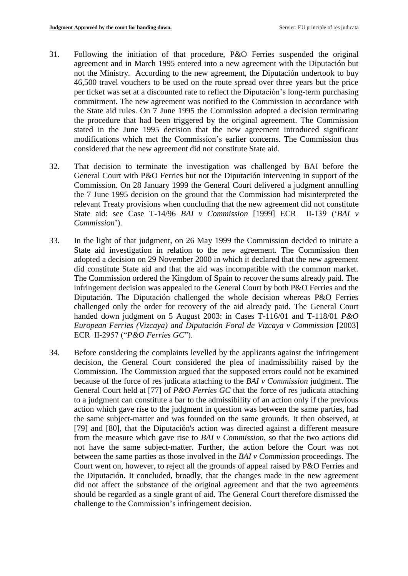- 31. Following the initiation of that procedure, P&O Ferries suspended the original agreement and in March 1995 entered into a new agreement with the Diputación but not the Ministry. According to the new agreement, the Diputación undertook to buy 46,500 travel vouchers to be used on the route spread over three years but the price per ticket was set at a discounted rate to reflect the Diputación's long-term purchasing commitment. The new agreement was notified to the Commission in accordance with the State aid rules. On 7 June 1995 the Commission adopted a decision terminating the procedure that had been triggered by the original agreement. The Commission stated in the June 1995 decision that the new agreement introduced significant modifications which met the Commission's earlier concerns. The Commission thus considered that the new agreement did not constitute State aid.
- 32. That decision to terminate the investigation was challenged by BAI before the General Court with P&O Ferries but not the Diputación intervening in support of the Commission. On 28 January 1999 the General Court delivered a judgment annulling the 7 June 1995 decision on the ground that the Commission had misinterpreted the relevant Treaty provisions when concluding that the new agreement did not constitute State aid: see Case T-14/96 *BAI v Commission* [1999] ECR II-139 ('*BAI v Commission*').
- 33. In the light of that judgment, on 26 May 1999 the Commission decided to initiate a State aid investigation in relation to the new agreement. The Commission then adopted a decision on 29 November 2000 in which it declared that the new agreement did constitute State aid and that the aid was incompatible with the common market. The Commission ordered the Kingdom of Spain to recover the sums already paid. The infringement decision was appealed to the General Court by both P&O Ferries and the Diputación. The Diputación challenged the whole decision whereas P&O Ferries challenged only the order for recovery of the aid already paid. The General Court handed down judgment on 5 August 2003: in Cases T-116/01 and T-118/01 *P&O European Ferries (Vizcaya) and Diputación Foral de Vizcaya v Commission* [2003] ECR II-2957 ("*P&O Ferries GC*").
- 34. Before considering the complaints levelled by the applicants against the infringement decision, the General Court considered the plea of inadmissibility raised by the Commission. The Commission argued that the supposed errors could not be examined because of the force of res judicata attaching to the *BAI v Commission* judgment. The General Court held at [77] of *P&O Ferries GC* that the force of res judicata attaching to a judgment can constitute a bar to the admissibility of an action only if the previous action which gave rise to the judgment in question was between the same parties, had the same subject-matter and was founded on the same grounds. It then observed, at [79] and [80], that the Diputación's action was directed against a different measure from the measure which gave rise to *BAI v Commission*, so that the two actions did not have the same subject-matter. Further, the action before the Court was not between the same parties as those involved in the *BAI v Commission* proceedings. The Court went on, however, to reject all the grounds of appeal raised by P&O Ferries and the Diputación. It concluded, broadly, that the changes made in the new agreement did not affect the substance of the original agreement and that the two agreements should be regarded as a single grant of aid. The General Court therefore dismissed the challenge to the Commission's infringement decision.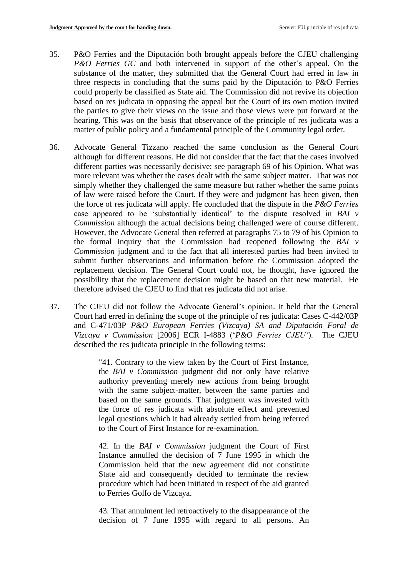- 35. P&O Ferries and the Diputación both brought appeals before the CJEU challenging *P&O Ferries GC* and both intervened in support of the other's appeal. On the substance of the matter, they submitted that the General Court had erred in law in three respects in concluding that the sums paid by the Diputación to P&O Ferries could properly be classified as State aid. The Commission did not revive its objection based on res judicata in opposing the appeal but the Court of its own motion invited the parties to give their views on the issue and those views were put forward at the hearing. This was on the basis that observance of the principle of res judicata was a matter of public policy and a fundamental principle of the Community legal order.
- 36. Advocate General Tizzano reached the same conclusion as the General Court although for different reasons. He did not consider that the fact that the cases involved different parties was necessarily decisive: see paragraph 69 of his Opinion. What was more relevant was whether the cases dealt with the same subject matter. That was not simply whether they challenged the same measure but rather whether the same points of law were raised before the Court. If they were and judgment has been given, then the force of res judicata will apply. He concluded that the dispute in the *P&O Ferries*  case appeared to be 'substantially identical' to the dispute resolved in *BAI v Commission* although the actual decisions being challenged were of course different. However, the Advocate General then referred at paragraphs 75 to 79 of his Opinion to the formal inquiry that the Commission had reopened following the *BAI v Commission* judgment and to the fact that all interested parties had been invited to submit further observations and information before the Commission adopted the replacement decision. The General Court could not, he thought, have ignored the possibility that the replacement decision might be based on that new material. He therefore advised the CJEU to find that res judicata did not arise.
- 37. The CJEU did not follow the Advocate General's opinion. It held that the General Court had erred in defining the scope of the principle of res judicata: Cases C-442/03P and C-471/03P *P&O European Ferries (Vizcaya) SA and Diputación Foral de Vizcaya v Commission* [2006] ECR I-4883 ('*P&O Ferries CJEU'*). The CJEU described the res judicata principle in the following terms:

"41. Contrary to the view taken by the Court of First Instance, the *BAI v Commission* judgment did not only have relative authority preventing merely new actions from being brought with the same subject-matter, between the same parties and based on the same grounds. That judgment was invested with the force of res judicata with absolute effect and prevented legal questions which it had already settled from being referred to the Court of First Instance for re-examination.

42. In the *BAI v Commission* judgment the Court of First Instance annulled the decision of 7 June 1995 in which the Commission held that the new agreement did not constitute State aid and consequently decided to terminate the review procedure which had been initiated in respect of the aid granted to Ferries Golfo de Vizcaya.

43. That annulment led retroactively to the disappearance of the decision of 7 June 1995 with regard to all persons. An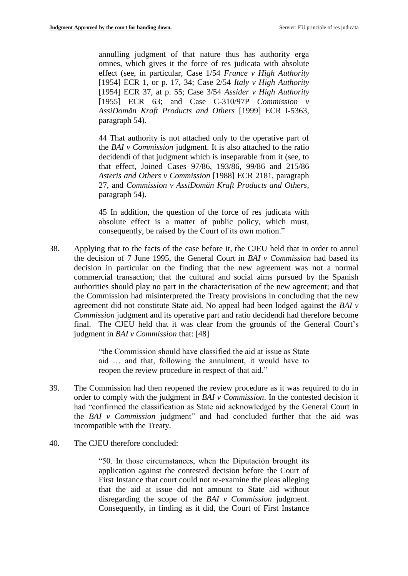annulling judgment of that nature thus has authority erga omnes, which gives it the force of res judicata with absolute effect (see, in particular, Case 1/54 *France v High Authority* [1954] ECR 1, or p. 17, 34; Case 2/54 *Italy v High Authority* [1954] ECR 37, at p. 55; Case 3/54 *Assider v High Authority* [1955] ECR 63; and Case C-310/97P *Commission v AssiDomän Kraft Products and Others* [1999] ECR I-5363, paragraph 54).

44 That authority is not attached only to the operative part of the *BAI v Commission* judgment. It is also attached to the ratio decidendi of that judgment which is inseparable from it (see, to that effect, Joined Cases 97/86, 193/86, 99/86 and 215/86 *Asteris and Others v Commission* [1988] ECR 2181, paragraph 27, and *Commission v AssiDomän Kraft Products and Others*, paragraph 54).

45 In addition, the question of the force of res judicata with absolute effect is a matter of public policy, which must, consequently, be raised by the Court of its own motion."

38. Applying that to the facts of the case before it, the CJEU held that in order to annul the decision of 7 June 1995, the General Court in *BAI v Commission* had based its decision in particular on the finding that the new agreement was not a normal commercial transaction; that the cultural and social aims pursued by the Spanish authorities should play no part in the characterisation of the new agreement; and that the Commission had misinterpreted the Treaty provisions in concluding that the new agreement did not constitute State aid. No appeal had been lodged against the *BAI v Commission* judgment and its operative part and ratio decidendi had therefore become final. The CJEU held that it was clear from the grounds of the General Court's judgment in *BAI v Commission* that: [48]

> "the Commission should have classified the aid at issue as State aid … and that, following the annulment, it would have to reopen the review procedure in respect of that aid."

- 39. The Commission had then reopened the review procedure as it was required to do in order to comply with the judgment in *BAI v Commission*. In the contested decision it had "confirmed the classification as State aid acknowledged by the General Court in the *BAI v Commission* judgment" and had concluded further that the aid was incompatible with the Treaty.
- 40. The CJEU therefore concluded:

"50. In those circumstances, when the Diputación brought its application against the contested decision before the Court of First Instance that court could not re-examine the pleas alleging that the aid at issue did not amount to State aid without disregarding the scope of the *BAI v Commission* judgment. Consequently, in finding as it did, the Court of First Instance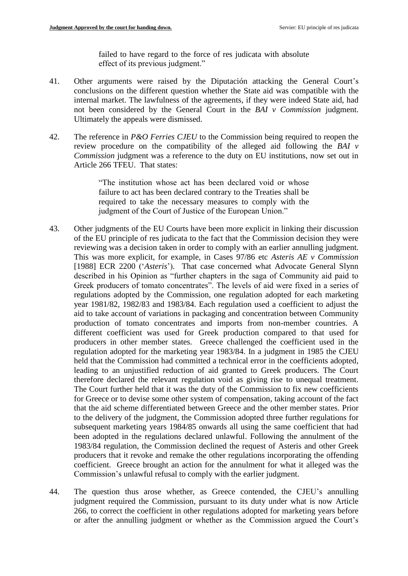failed to have regard to the force of res judicata with absolute effect of its previous judgment."

- 41. Other arguments were raised by the Diputación attacking the General Court's conclusions on the different question whether the State aid was compatible with the internal market. The lawfulness of the agreements, if they were indeed State aid, had not been considered by the General Court in the *BAI v Commission* judgment. Ultimately the appeals were dismissed.
- 42. The reference in *P&O Ferries CJEU* to the Commission being required to reopen the review procedure on the compatibility of the alleged aid following the *BAI v Commission* judgment was a reference to the duty on EU institutions, now set out in Article 266 TFEU. That states:

"The institution whose act has been declared void or whose failure to act has been declared contrary to the Treaties shall be required to take the necessary measures to comply with the judgment of the Court of Justice of the European Union."

- 43. Other judgments of the EU Courts have been more explicit in linking their discussion of the EU principle of res judicata to the fact that the Commission decision they were reviewing was a decision taken in order to comply with an earlier annulling judgment. This was more explicit, for example, in Cases 97/86 etc *Asteris AE v Commission*  [1988] ECR 2200 ('*Asteris*'). That case concerned what Advocate General Slynn described in his Opinion as "further chapters in the saga of Community aid paid to Greek producers of tomato concentrates". The levels of aid were fixed in a series of regulations adopted by the Commission, one regulation adopted for each marketing year 1981/82, 1982/83 and 1983/84. Each regulation used a coefficient to adjust the aid to take account of variations in packaging and concentration between Community production of tomato concentrates and imports from non-member countries. A different coefficient was used for Greek production compared to that used for producers in other member states. Greece challenged the coefficient used in the regulation adopted for the marketing year 1983/84. In a judgment in 1985 the CJEU held that the Commission had committed a technical error in the coefficients adopted, leading to an unjustified reduction of aid granted to Greek producers. The Court therefore declared the relevant regulation void as giving rise to unequal treatment. The Court further held that it was the duty of the Commission to fix new coefficients for Greece or to devise some other system of compensation, taking account of the fact that the aid scheme differentiated between Greece and the other member states. Prior to the delivery of the judgment, the Commission adopted three further regulations for subsequent marketing years 1984/85 onwards all using the same coefficient that had been adopted in the regulations declared unlawful. Following the annulment of the 1983/84 regulation, the Commission declined the request of Asteris and other Greek producers that it revoke and remake the other regulations incorporating the offending coefficient. Greece brought an action for the annulment for what it alleged was the Commission's unlawful refusal to comply with the earlier judgment.
- 44. The question thus arose whether, as Greece contended, the CJEU's annulling judgment required the Commission, pursuant to its duty under what is now Article 266, to correct the coefficient in other regulations adopted for marketing years before or after the annulling judgment or whether as the Commission argued the Court's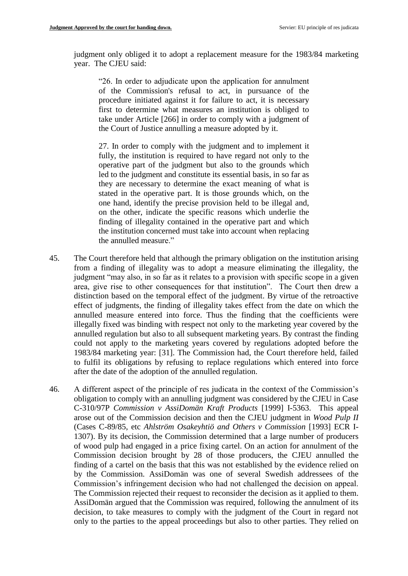judgment only obliged it to adopt a replacement measure for the 1983/84 marketing year. The CJEU said:

"26. In order to adjudicate upon the application for annulment of the Commission's refusal to act, in pursuance of the procedure initiated against it for failure to act, it is necessary first to determine what measures an institution is obliged to take under Article [266] in order to comply with a judgment of the Court of Justice annulling a measure adopted by it.

27. In order to comply with the judgment and to implement it fully, the institution is required to have regard not only to the operative part of the judgment but also to the grounds which led to the judgment and constitute its essential basis, in so far as they are necessary to determine the exact meaning of what is stated in the operative part. It is those grounds which, on the one hand, identify the precise provision held to be illegal and, on the other, indicate the specific reasons which underlie the finding of illegality contained in the operative part and which the institution concerned must take into account when replacing the annulled measure."

- 45. The Court therefore held that although the primary obligation on the institution arising from a finding of illegality was to adopt a measure eliminating the illegality, the judgment "may also, in so far as it relates to a provision with specific scope in a given area, give rise to other consequences for that institution". The Court then drew a distinction based on the temporal effect of the judgment. By virtue of the retroactive effect of judgments, the finding of illegality takes effect from the date on which the annulled measure entered into force. Thus the finding that the coefficients were illegally fixed was binding with respect not only to the marketing year covered by the annulled regulation but also to all subsequent marketing years. By contrast the finding could not apply to the marketing years covered by regulations adopted before the 1983/84 marketing year: [31]. The Commission had, the Court therefore held, failed to fulfil its obligations by refusing to replace regulations which entered into force after the date of the adoption of the annulled regulation.
- 46. A different aspect of the principle of res judicata in the context of the Commission's obligation to comply with an annulling judgment was considered by the CJEU in Case C-310/97P *Commission v AssiDomän Kraft Products* [1999] I-5363. This appeal arose out of the Commission decision and then the CJEU judgment in *Wood Pulp II* (Cases C-89/85, etc *Ahlström Osakeyhtiö and Others v Commission* [1993] ECR I-1307). By its decision, the Commission determined that a large number of producers of wood pulp had engaged in a price fixing cartel. On an action for annulment of the Commission decision brought by 28 of those producers, the CJEU annulled the finding of a cartel on the basis that this was not established by the evidence relied on by the Commission. AssiDomän was one of several Swedish addressees of the Commission's infringement decision who had not challenged the decision on appeal. The Commission rejected their request to reconsider the decision as it applied to them. AssiDomän argued that the Commission was required, following the annulment of its decision, to take measures to comply with the judgment of the Court in regard not only to the parties to the appeal proceedings but also to other parties. They relied on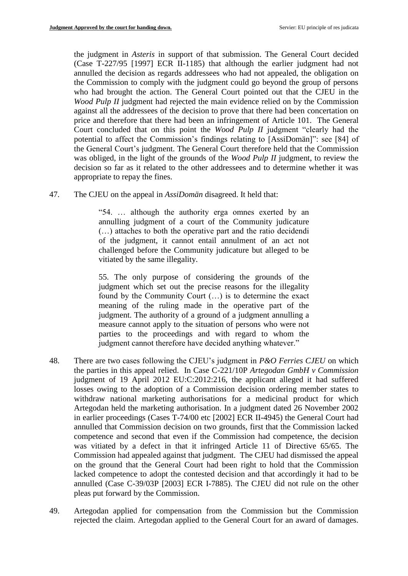the judgment in *Asteris* in support of that submission. The General Court decided (Case T-227/95 [1997] ECR II-1185) that although the earlier judgment had not annulled the decision as regards addressees who had not appealed, the obligation on the Commission to comply with the judgment could go beyond the group of persons who had brought the action. The General Court pointed out that the CJEU in the *Wood Pulp II* judgment had rejected the main evidence relied on by the Commission against all the addressees of the decision to prove that there had been concertation on price and therefore that there had been an infringement of Article 101. The General Court concluded that on this point the *Wood Pulp II* judgment "clearly had the potential to affect the Commission's findings relating to [AssiDomän]": see [84] of the General Court's judgment. The General Court therefore held that the Commission was obliged, in the light of the grounds of the *Wood Pulp II* judgment, to review the decision so far as it related to the other addressees and to determine whether it was appropriate to repay the fines.

47. The CJEU on the appeal in *AssiDomän* disagreed. It held that:

"54. … although the authority erga omnes exerted by an annulling judgment of a court of the Community judicature (…) attaches to both the operative part and the ratio decidendi of the judgment, it cannot entail annulment of an act not challenged before the Community judicature but alleged to be vitiated by the same illegality.

55. The only purpose of considering the grounds of the judgment which set out the precise reasons for the illegality found by the Community Court (…) is to determine the exact meaning of the ruling made in the operative part of the judgment. The authority of a ground of a judgment annulling a measure cannot apply to the situation of persons who were not parties to the proceedings and with regard to whom the judgment cannot therefore have decided anything whatever."

- 48. There are two cases following the CJEU's judgment in *P&O Ferries CJEU* on which the parties in this appeal relied. In Case C-221/10P *Artegodan GmbH v Commission* judgment of 19 April 2012 EU:C:2012:216, the applicant alleged it had suffered losses owing to the adoption of a Commission decision ordering member states to withdraw national marketing authorisations for a medicinal product for which Artegodan held the marketing authorisation. In a judgment dated 26 November 2002 in earlier proceedings (Cases T-74/00 etc [2002] ECR II-4945) the General Court had annulled that Commission decision on two grounds, first that the Commission lacked competence and second that even if the Commission had competence, the decision was vitiated by a defect in that it infringed Article 11 of Directive 65/65. The Commission had appealed against that judgment. The CJEU had dismissed the appeal on the ground that the General Court had been right to hold that the Commission lacked competence to adopt the contested decision and that accordingly it had to be annulled (Case C-39/03P [2003] ECR I-7885). The CJEU did not rule on the other pleas put forward by the Commission.
- 49. Artegodan applied for compensation from the Commission but the Commission rejected the claim. Artegodan applied to the General Court for an award of damages.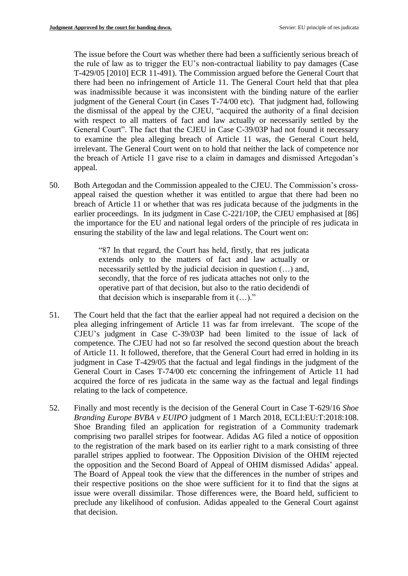The issue before the Court was whether there had been a sufficiently serious breach of the rule of law as to trigger the EU's non-contractual liability to pay damages (Case T-429/05 [2010] ECR 11-491). The Commission argued before the General Court that there had been no infringement of Article 11. The General Court held that that plea was inadmissible because it was inconsistent with the binding nature of the earlier judgment of the General Court (in Cases T-74/00 etc). That judgment had, following the dismissal of the appeal by the CJEU, "acquired the authority of a final decision with respect to all matters of fact and law actually or necessarily settled by the General Court". The fact that the CJEU in Case C-39/03P had not found it necessary to examine the plea alleging breach of Article 11 was, the General Court held, irrelevant. The General Court went on to hold that neither the lack of competence nor the breach of Article 11 gave rise to a claim in damages and dismissed Artegodan's appeal.

50. Both Artegodan and the Commission appealed to the CJEU. The Commission's crossappeal raised the question whether it was entitled to argue that there had been no breach of Article 11 or whether that was res judicata because of the judgments in the earlier proceedings. In its judgment in Case C-221/10P, the CJEU emphasised at [86] the importance for the EU and national legal orders of the principle of res judicata in ensuring the stability of the law and legal relations. The Court went on:

> "87 In that regard, the Court has held, firstly, that res judicata extends only to the matters of fact and law actually or necessarily settled by the judicial decision in question (…) and, secondly, that the force of res judicata attaches not only to the operative part of that decision, but also to the ratio decidendi of that decision which is inseparable from it  $(...)$ ."

- 51. The Court held that the fact that the earlier appeal had not required a decision on the plea alleging infringement of Article 11 was far from irrelevant. The scope of the CJEU's judgment in Case C-39/03P had been limited to the issue of lack of competence. The CJEU had not so far resolved the second question about the breach of Article 11. It followed, therefore, that the General Court had erred in holding in its judgment in Case T-429/05 that the factual and legal findings in the judgment of the General Court in Cases T-74/00 etc concerning the infringement of Article 11 had acquired the force of res judicata in the same way as the factual and legal findings relating to the lack of competence.
- 52. Finally and most recently is the decision of the General Court in Case T-629/16 *Shoe Branding Europe BVBA v EUIPO* judgment of 1 March 2018, ECLI:EU:T:2018:108. Shoe Branding filed an application for registration of a Community trademark comprising two parallel stripes for footwear. Adidas AG filed a notice of opposition to the registration of the mark based on its earlier right to a mark consisting of three parallel stripes applied to footwear. The Opposition Division of the OHIM rejected the opposition and the Second Board of Appeal of OHIM dismissed Adidas' appeal. The Board of Appeal took the view that the differences in the number of stripes and their respective positions on the shoe were sufficient for it to find that the signs at issue were overall dissimilar. Those differences were, the Board held, sufficient to preclude any likelihood of confusion. Adidas appealed to the General Court against that decision.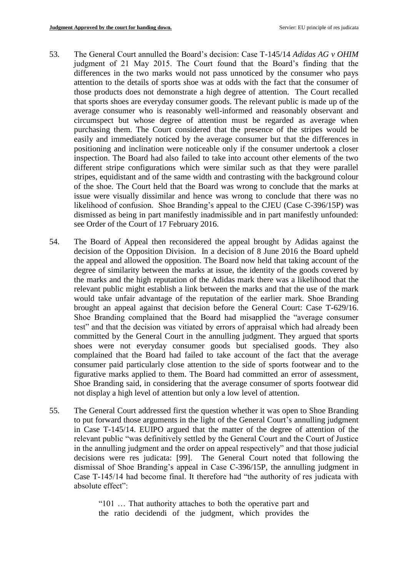- 53. The General Court annulled the Board's decision: Case T-145/14 *Adidas AG v OHIM*  judgment of 21 May 2015. The Court found that the Board's finding that the differences in the two marks would not pass unnoticed by the consumer who pays attention to the details of sports shoe was at odds with the fact that the consumer of those products does not demonstrate a high degree of attention. The Court recalled that sports shoes are everyday consumer goods. The relevant public is made up of the average consumer who is reasonably well-informed and reasonably observant and circumspect but whose degree of attention must be regarded as average when purchasing them. The Court considered that the presence of the stripes would be easily and immediately noticed by the average consumer but that the differences in positioning and inclination were noticeable only if the consumer undertook a closer inspection. The Board had also failed to take into account other elements of the two different stripe configurations which were similar such as that they were parallel stripes, equidistant and of the same width and contrasting with the background colour of the shoe. The Court held that the Board was wrong to conclude that the marks at issue were visually dissimilar and hence was wrong to conclude that there was no likelihood of confusion. Shoe Branding's appeal to the CJEU (Case C-396/15P) was dismissed as being in part manifestly inadmissible and in part manifestly unfounded: see Order of the Court of 17 February 2016.
- 54. The Board of Appeal then reconsidered the appeal brought by Adidas against the decision of the Opposition Division. In a decision of 8 June 2016 the Board upheld the appeal and allowed the opposition. The Board now held that taking account of the degree of similarity between the marks at issue, the identity of the goods covered by the marks and the high reputation of the Adidas mark there was a likelihood that the relevant public might establish a link between the marks and that the use of the mark would take unfair advantage of the reputation of the earlier mark. Shoe Branding brought an appeal against that decision before the General Court: Case T-629/16. Shoe Branding complained that the Board had misapplied the "average consumer test" and that the decision was vitiated by errors of appraisal which had already been committed by the General Court in the annulling judgment. They argued that sports shoes were not everyday consumer goods but specialised goods. They also complained that the Board had failed to take account of the fact that the average consumer paid particularly close attention to the side of sports footwear and to the figurative marks applied to them. The Board had committed an error of assessment, Shoe Branding said, in considering that the average consumer of sports footwear did not display a high level of attention but only a low level of attention.
- 55. The General Court addressed first the question whether it was open to Shoe Branding to put forward those arguments in the light of the General Court's annulling judgment in Case T-145/14. EUIPO argued that the matter of the degree of attention of the relevant public "was definitively settled by the General Court and the Court of Justice in the annulling judgment and the order on appeal respectively" and that those judicial decisions were res judicata: [99]. The General Court noted that following the dismissal of Shoe Branding's appeal in Case C-396/15P, the annulling judgment in Case T-145/14 had become final. It therefore had "the authority of res judicata with absolute effect":

"101 … That authority attaches to both the operative part and the ratio decidendi of the judgment, which provides the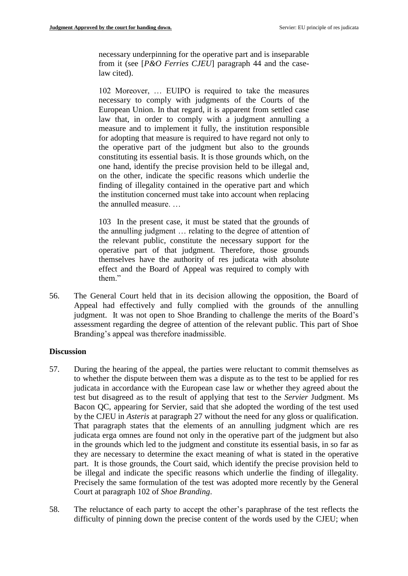necessary underpinning for the operative part and is inseparable from it (see [*P&O Ferries CJEU*] paragraph 44 and the caselaw cited).

102 Moreover, … EUIPO is required to take the measures necessary to comply with judgments of the Courts of the European Union. In that regard, it is apparent from settled case law that, in order to comply with a judgment annulling a measure and to implement it fully, the institution responsible for adopting that measure is required to have regard not only to the operative part of the judgment but also to the grounds constituting its essential basis. It is those grounds which, on the one hand, identify the precise provision held to be illegal and, on the other, indicate the specific reasons which underlie the finding of illegality contained in the operative part and which the institution concerned must take into account when replacing the annulled measure. …

103 In the present case, it must be stated that the grounds of the annulling judgment … relating to the degree of attention of the relevant public, constitute the necessary support for the operative part of that judgment. Therefore, those grounds themselves have the authority of res judicata with absolute effect and the Board of Appeal was required to comply with them."

56. The General Court held that in its decision allowing the opposition, the Board of Appeal had effectively and fully complied with the grounds of the annulling judgment. It was not open to Shoe Branding to challenge the merits of the Board's assessment regarding the degree of attention of the relevant public. This part of Shoe Branding's appeal was therefore inadmissible.

#### **Discussion**

- 57. During the hearing of the appeal, the parties were reluctant to commit themselves as to whether the dispute between them was a dispute as to the test to be applied for res judicata in accordance with the European case law or whether they agreed about the test but disagreed as to the result of applying that test to the *Servier* Judgment. Ms Bacon QC, appearing for Servier, said that she adopted the wording of the test used by the CJEU in *Asteris* at paragraph 27 without the need for any gloss or qualification. That paragraph states that the elements of an annulling judgment which are res judicata erga omnes are found not only in the operative part of the judgment but also in the grounds which led to the judgment and constitute its essential basis, in so far as they are necessary to determine the exact meaning of what is stated in the operative part. It is those grounds, the Court said, which identify the precise provision held to be illegal and indicate the specific reasons which underlie the finding of illegality. Precisely the same formulation of the test was adopted more recently by the General Court at paragraph 102 of *Shoe Branding*.
- 58. The reluctance of each party to accept the other's paraphrase of the test reflects the difficulty of pinning down the precise content of the words used by the CJEU; when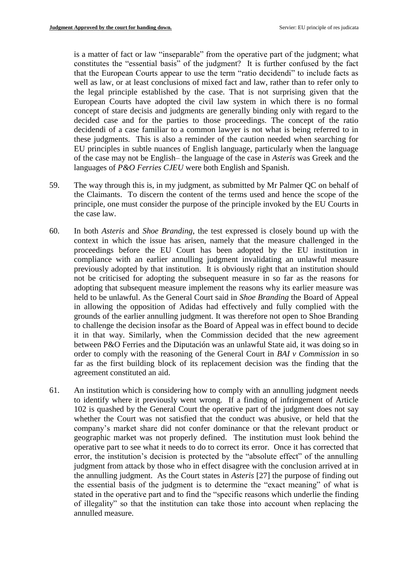is a matter of fact or law "inseparable" from the operative part of the judgment; what constitutes the "essential basis" of the judgment? It is further confused by the fact that the European Courts appear to use the term "ratio decidendi" to include facts as well as law, or at least conclusions of mixed fact and law, rather than to refer only to the legal principle established by the case. That is not surprising given that the European Courts have adopted the civil law system in which there is no formal concept of stare decisis and judgments are generally binding only with regard to the decided case and for the parties to those proceedings. The concept of the ratio decidendi of a case familiar to a common lawyer is not what is being referred to in these judgments. This is also a reminder of the caution needed when searching for EU principles in subtle nuances of English language, particularly when the language of the case may not be English– the language of the case in *Asteris* was Greek and the languages of *P&O Ferries CJEU* were both English and Spanish.

- 59. The way through this is, in my judgment, as submitted by Mr Palmer QC on behalf of the Claimants. To discern the content of the terms used and hence the scope of the principle, one must consider the purpose of the principle invoked by the EU Courts in the case law.
- 60. In both *Asteris* and *Shoe Branding*, the test expressed is closely bound up with the context in which the issue has arisen, namely that the measure challenged in the proceedings before the EU Court has been adopted by the EU institution in compliance with an earlier annulling judgment invalidating an unlawful measure previously adopted by that institution. It is obviously right that an institution should not be criticised for adopting the subsequent measure in so far as the reasons for adopting that subsequent measure implement the reasons why its earlier measure was held to be unlawful. As the General Court said in *Shoe Branding* the Board of Appeal in allowing the opposition of Adidas had effectively and fully complied with the grounds of the earlier annulling judgment. It was therefore not open to Shoe Branding to challenge the decision insofar as the Board of Appeal was in effect bound to decide it in that way. Similarly, when the Commission decided that the new agreement between P&O Ferries and the Diputación was an unlawful State aid, it was doing so in order to comply with the reasoning of the General Court in *BAI v Commission* in so far as the first building block of its replacement decision was the finding that the agreement constituted an aid.
- 61. An institution which is considering how to comply with an annulling judgment needs to identify where it previously went wrong. If a finding of infringement of Article 102 is quashed by the General Court the operative part of the judgment does not say whether the Court was not satisfied that the conduct was abusive, or held that the company's market share did not confer dominance or that the relevant product or geographic market was not properly defined. The institution must look behind the operative part to see what it needs to do to correct its error. Once it has corrected that error, the institution's decision is protected by the "absolute effect" of the annulling judgment from attack by those who in effect disagree with the conclusion arrived at in the annulling judgment. As the Court states in *Asteris* [27] the purpose of finding out the essential basis of the judgment is to determine the "exact meaning" of what is stated in the operative part and to find the "specific reasons which underlie the finding of illegality" so that the institution can take those into account when replacing the annulled measure.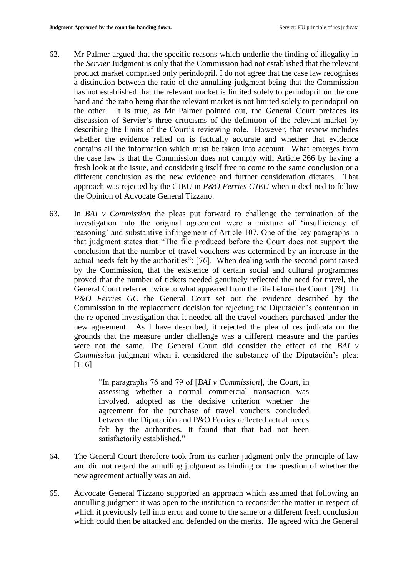- 62. Mr Palmer argued that the specific reasons which underlie the finding of illegality in the *Servier* Judgment is only that the Commission had not established that the relevant product market comprised only perindopril. I do not agree that the case law recognises a distinction between the ratio of the annulling judgment being that the Commission has not established that the relevant market is limited solely to perindopril on the one hand and the ratio being that the relevant market is not limited solely to perindopril on the other. It is true, as Mr Palmer pointed out, the General Court prefaces its discussion of Servier's three criticisms of the definition of the relevant market by describing the limits of the Court's reviewing role. However, that review includes whether the evidence relied on is factually accurate and whether that evidence contains all the information which must be taken into account. What emerges from the case law is that the Commission does not comply with Article 266 by having a fresh look at the issue, and considering itself free to come to the same conclusion or a different conclusion as the new evidence and further consideration dictates. That approach was rejected by the CJEU in *P&O Ferries CJEU* when it declined to follow the Opinion of Advocate General Tizzano.
- 63. In *BAI v Commission* the pleas put forward to challenge the termination of the investigation into the original agreement were a mixture of 'insufficiency of reasoning' and substantive infringement of Article 107. One of the key paragraphs in that judgment states that "The file produced before the Court does not support the conclusion that the number of travel vouchers was determined by an increase in the actual needs felt by the authorities": [76]. When dealing with the second point raised by the Commission, that the existence of certain social and cultural programmes proved that the number of tickets needed genuinely reflected the need for travel, the General Court referred twice to what appeared from the file before the Court: [79]. In *P&O Ferries GC* the General Court set out the evidence described by the Commission in the replacement decision for rejecting the Diputación's contention in the re-opened investigation that it needed all the travel vouchers purchased under the new agreement. As I have described, it rejected the plea of res judicata on the grounds that the measure under challenge was a different measure and the parties were not the same. The General Court did consider the effect of the *BAI v Commission* judgment when it considered the substance of the Diputación's plea: [116]

"In paragraphs 76 and 79 of [*BAI v Commission*], the Court, in assessing whether a normal commercial transaction was involved, adopted as the decisive criterion whether the agreement for the purchase of travel vouchers concluded between the Diputación and P&O Ferries reflected actual needs felt by the authorities. It found that that had not been satisfactorily established."

- 64. The General Court therefore took from its earlier judgment only the principle of law and did not regard the annulling judgment as binding on the question of whether the new agreement actually was an aid.
- 65. Advocate General Tizzano supported an approach which assumed that following an annulling judgment it was open to the institution to reconsider the matter in respect of which it previously fell into error and come to the same or a different fresh conclusion which could then be attacked and defended on the merits. He agreed with the General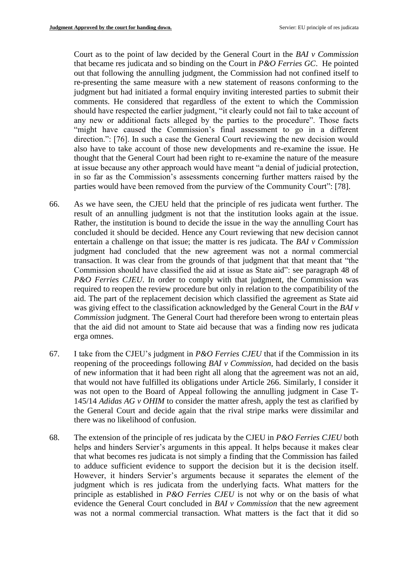Court as to the point of law decided by the General Court in the *BAI v Commission*  that became res judicata and so binding on the Court in *P&O Ferries GC*. He pointed out that following the annulling judgment, the Commission had not confined itself to re-presenting the same measure with a new statement of reasons conforming to the judgment but had initiated a formal enquiry inviting interested parties to submit their comments. He considered that regardless of the extent to which the Commission should have respected the earlier judgment, "it clearly could not fail to take account of any new or additional facts alleged by the parties to the procedure". Those facts "might have caused the Commission's final assessment to go in a different direction.": [76]. In such a case the General Court reviewing the new decision would also have to take account of those new developments and re-examine the issue. He thought that the General Court had been right to re-examine the nature of the measure at issue because any other approach would have meant "a denial of judicial protection, in so far as the Commission's assessments concerning further matters raised by the parties would have been removed from the purview of the Community Court": [78].

- 66. As we have seen, the CJEU held that the principle of res judicata went further. The result of an annulling judgment is not that the institution looks again at the issue. Rather, the institution is bound to decide the issue in the way the annulling Court has concluded it should be decided. Hence any Court reviewing that new decision cannot entertain a challenge on that issue; the matter is res judicata. The *BAI v Commission*  judgment had concluded that the new agreement was not a normal commercial transaction. It was clear from the grounds of that judgment that that meant that "the Commission should have classified the aid at issue as State aid": see paragraph 48 of *P&O Ferries CJEU*. In order to comply with that judgment, the Commission was required to reopen the review procedure but only in relation to the compatibility of the aid. The part of the replacement decision which classified the agreement as State aid was giving effect to the classification acknowledged by the General Court in the *BAI v Commission* judgment. The General Court had therefore been wrong to entertain pleas that the aid did not amount to State aid because that was a finding now res judicata erga omnes.
- 67. I take from the CJEU's judgment in *P&O Ferries CJEU* that if the Commission in its reopening of the proceedings following *BAI v Commission*, had decided on the basis of new information that it had been right all along that the agreement was not an aid, that would not have fulfilled its obligations under Article 266. Similarly, I consider it was not open to the Board of Appeal following the annulling judgment in Case T-145/14 *Adidas AG v OHIM* to consider the matter afresh, apply the test as clarified by the General Court and decide again that the rival stripe marks were dissimilar and there was no likelihood of confusion.
- 68. The extension of the principle of res judicata by the CJEU in *P&O Ferries CJEU* both helps and hinders Servier's arguments in this appeal. It helps because it makes clear that what becomes res judicata is not simply a finding that the Commission has failed to adduce sufficient evidence to support the decision but it is the decision itself. However, it hinders Servier's arguments because it separates the element of the judgment which is res judicata from the underlying facts. What matters for the principle as established in *P&O Ferries CJEU* is not why or on the basis of what evidence the General Court concluded in *BAI v Commission* that the new agreement was not a normal commercial transaction. What matters is the fact that it did so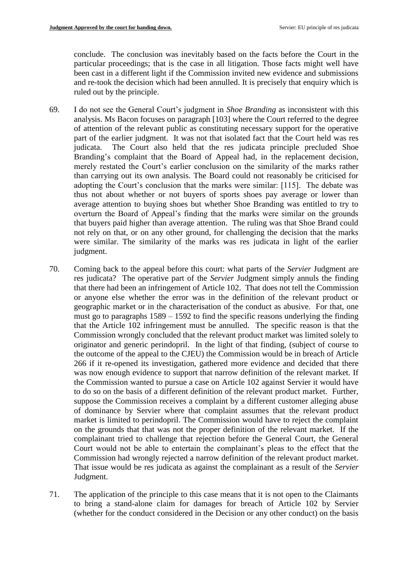conclude. The conclusion was inevitably based on the facts before the Court in the particular proceedings; that is the case in all litigation. Those facts might well have been cast in a different light if the Commission invited new evidence and submissions and re-took the decision which had been annulled. It is precisely that enquiry which is ruled out by the principle.

- 69. I do not see the General Court's judgment in *Shoe Branding* as inconsistent with this analysis. Ms Bacon focuses on paragraph [103] where the Court referred to the degree of attention of the relevant public as constituting necessary support for the operative part of the earlier judgment. It was not that isolated fact that the Court held was res judicata. The Court also held that the res judicata principle precluded Shoe Branding's complaint that the Board of Appeal had, in the replacement decision, merely restated the Court's earlier conclusion on the similarity of the marks rather than carrying out its own analysis. The Board could not reasonably be criticised for adopting the Court's conclusion that the marks were similar: [115]. The debate was thus not about whether or not buyers of sports shoes pay average or lower than average attention to buying shoes but whether Shoe Branding was entitled to try to overturn the Board of Appeal's finding that the marks were similar on the grounds that buyers paid higher than average attention. The ruling was that Shoe Brand could not rely on that, or on any other ground, for challenging the decision that the marks were similar. The similarity of the marks was res judicata in light of the earlier judgment.
- 70. Coming back to the appeal before this court: what parts of the *Servier* Judgment are res judicata? The operative part of the *Servier* Judgment simply annuls the finding that there had been an infringement of Article 102. That does not tell the Commission or anyone else whether the error was in the definition of the relevant product or geographic market or in the characterisation of the conduct as abusive. For that, one must go to paragraphs 1589 – 1592 to find the specific reasons underlying the finding that the Article 102 infringement must be annulled. The specific reason is that the Commission wrongly concluded that the relevant product market was limited solely to originator and generic perindopril. In the light of that finding, (subject of course to the outcome of the appeal to the CJEU) the Commission would be in breach of Article 266 if it re-opened its investigation, gathered more evidence and decided that there was now enough evidence to support that narrow definition of the relevant market. If the Commission wanted to pursue a case on Article 102 against Servier it would have to do so on the basis of a different definition of the relevant product market. Further, suppose the Commission receives a complaint by a different customer alleging abuse of dominance by Servier where that complaint assumes that the relevant product market is limited to perindopril. The Commission would have to reject the complaint on the grounds that that was not the proper definition of the relevant market. If the complainant tried to challenge that rejection before the General Court, the General Court would not be able to entertain the complainant's pleas to the effect that the Commission had wrongly rejected a narrow definition of the relevant product market. That issue would be res judicata as against the complainant as a result of the *Servier* Judgment.
- 71. The application of the principle to this case means that it is not open to the Claimants to bring a stand-alone claim for damages for breach of Article 102 by Servier (whether for the conduct considered in the Decision or any other conduct) on the basis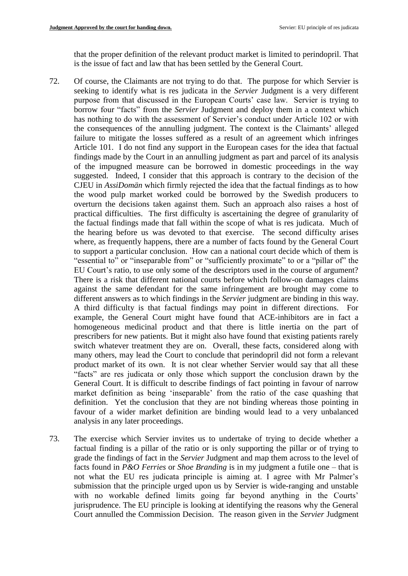that the proper definition of the relevant product market is limited to perindopril. That is the issue of fact and law that has been settled by the General Court.

- 72. Of course, the Claimants are not trying to do that. The purpose for which Servier is seeking to identify what is res judicata in the *Servier* Judgment is a very different purpose from that discussed in the European Courts' case law. Servier is trying to borrow four "facts" from the *Servier* Judgment and deploy them in a context which has nothing to do with the assessment of Servier's conduct under Article 102 or with the consequences of the annulling judgment. The context is the Claimants' alleged failure to mitigate the losses suffered as a result of an agreement which infringes Article 101. I do not find any support in the European cases for the idea that factual findings made by the Court in an annulling judgment as part and parcel of its analysis of the impugned measure can be borrowed in domestic proceedings in the way suggested. Indeed, I consider that this approach is contrary to the decision of the CJEU in *AssiDomän* which firmly rejected the idea that the factual findings as to how the wood pulp market worked could be borrowed by the Swedish producers to overturn the decisions taken against them. Such an approach also raises a host of practical difficulties. The first difficulty is ascertaining the degree of granularity of the factual findings made that fall within the scope of what is res judicata. Much of the hearing before us was devoted to that exercise. The second difficulty arises where, as frequently happens, there are a number of facts found by the General Court to support a particular conclusion. How can a national court decide which of them is "essential to" or "inseparable from" or "sufficiently proximate" to or a "pillar of" the EU Court's ratio, to use only some of the descriptors used in the course of argument? There is a risk that different national courts before which follow-on damages claims against the same defendant for the same infringement are brought may come to different answers as to which findings in the *Servier* judgment are binding in this way. A third difficulty is that factual findings may point in different directions. For example, the General Court might have found that ACE-inhibitors are in fact a homogeneous medicinal product and that there is little inertia on the part of prescribers for new patients. But it might also have found that existing patients rarely switch whatever treatment they are on. Overall, these facts, considered along with many others, may lead the Court to conclude that perindopril did not form a relevant product market of its own. It is not clear whether Servier would say that all these "facts" are res judicata or only those which support the conclusion drawn by the General Court. It is difficult to describe findings of fact pointing in favour of narrow market definition as being 'inseparable' from the ratio of the case quashing that definition. Yet the conclusion that they are not binding whereas those pointing in favour of a wider market definition are binding would lead to a very unbalanced analysis in any later proceedings.
- 73. The exercise which Servier invites us to undertake of trying to decide whether a factual finding is a pillar of the ratio or is only supporting the pillar or of trying to grade the findings of fact in the *Servier* Judgment and map them across to the level of facts found in *P&O Ferries* or *Shoe Branding* is in my judgment a futile one – that is not what the EU res judicata principle is aiming at. I agree with Mr Palmer's submission that the principle urged upon us by Servier is wide-ranging and unstable with no workable defined limits going far beyond anything in the Courts' jurisprudence. The EU principle is looking at identifying the reasons why the General Court annulled the Commission Decision. The reason given in the *Servier* Judgment